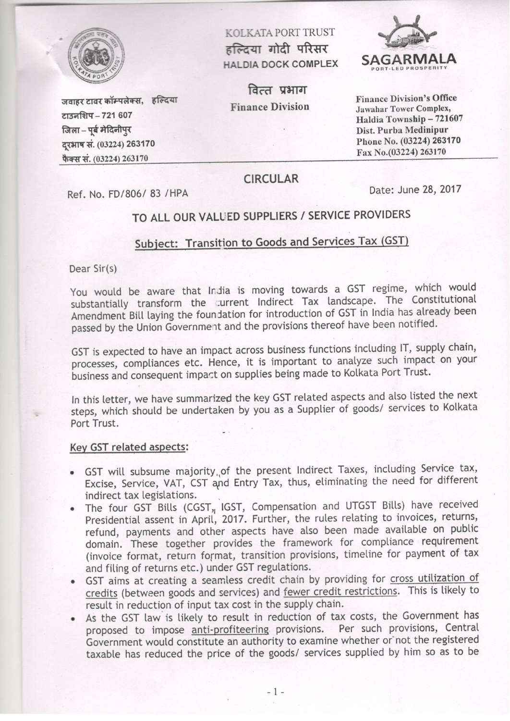

टाउनशिप - 721 607

जिला – पर्ब मेदिनीपुर

दरभाष सं. (03224) 263170

फैक्स सं. (03224) 263170

KOLKATA PORT TRUST हल्दिया गोदी परिसर **HALDIA DOCK COMPLEX** 

वित्त प्रभाग **Finance Division** 



**Finance Division's Office Jawahar Tower Complex,** Haldia Township - 721607 Dist. Purba Medinipur Phone No. (03224) 263170 Fax No.(03224) 263170

Ref. No. FD/806/83 / HPA

जवाहर टावर कॉम्पलेक्स, हल्दिया

Date: June 28, 2017

# TO ALL OUR VALUED SUPPLIERS / SERVICE PROVIDERS

**CIRCULAR** 

### Subject: Transition to Goods and Services Tax (GST)

Dear Sir(s)

You would be aware that India is moving towards a GST regime, which would substantially transform the current Indirect Tax landscape. The Constitutional Amendment Bill laying the foundation for introduction of GST in India has already been passed by the Union Government and the provisions thereof have been notified.

GST is expected to have an impact across business functions including IT, supply chain, processes, compliances etc. Hence, it is important to analyze such impact on your business and consequent impact on supplies being made to Kolkata Port Trust.

In this letter, we have summarized the key GST related aspects and also listed the next steps, which should be undertaken by you as a Supplier of goods/ services to Kolkata Port Trust.

### Key GST related aspects:

- GST will subsume majority of the present Indirect Taxes, including Service tax, Excise, Service, VAT, CST and Entry Tax, thus, eliminating the need for different indirect tax legislations.
- The four GST Bills (CGST, IGST, Compensation and UTGST Bills) have received Presidential assent in April, 2017. Further, the rules relating to invoices, returns, refund, payments and other aspects have also been made available on public domain. These together provides the framework for compliance requirement (invoice format, return format, transition provisions, timeline for payment of tax and filing of returns etc.) under GST regulations.
- GST aims at creating a seamless credit chain by providing for cross utilization of credits (between goods and services) and fewer credit restrictions. This is likely to result in reduction of input tax cost in the supply chain.
- As the GST law is likely to result in reduction of tax costs, the Government has proposed to impose anti-profiteering provisions. Per such provisions, Central Government would constitute an authority to examine whether or not the registered taxable has reduced the price of the goods/ services supplied by him so as to be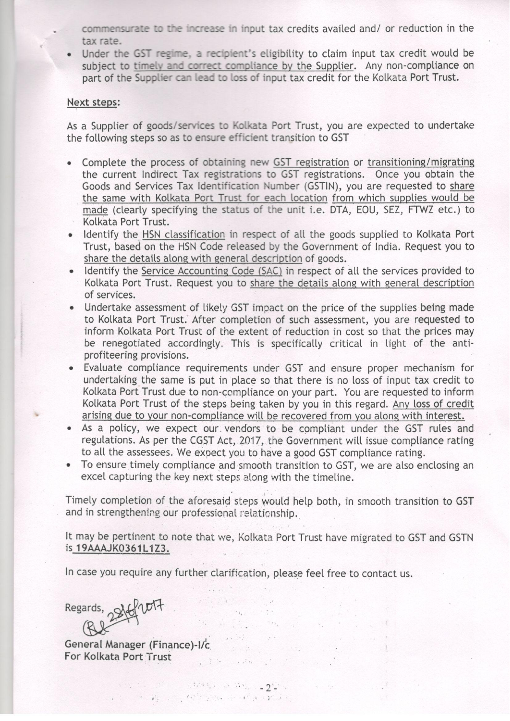commensurate to the increase in input tax credits availed and/ or reduction in the tax rate.

Under the GST regime, a recipient's eligibility to claim input tax credit would be subject to timely and correct compliance by the Supplier. Any non-compliance on part of the Supplier can lead to loss of input tax credit for the Kolkata Port Trust.

#### Next steps:

As a Supplier of goods/services to Kolkata Port Trust, you are expected to undertake the following steps so as to ensure efficient transition to GST

- Complete the process of obtaining new GST registration or transitioning/migrating the current Indirect Tax registrations to GST registrations. Once you obtain the Goods and Services Tax Identification Number (GSTIN), you are requested to share the same with Kolkata Port Trust for each location from which supplies would be made (clearly specifying the status of the unit i.e. DTA, EOU, SEZ, FTWZ etc.) to Kolkata Port Trust.
- Identify the HSN classification in respect of all the goods supplied to Kolkata Port Trust, based on the HSN Code released by the Government of India. Request you to share the details along with general description of goods.
- Identify the Service Accounting Code (SAC) in respect of all the services provided to Kolkata Port Trust. Request you to share the details along with general description of services.
- Undertake assessment of likely GST impact on the price of the supplies being made to Kolkata Port Trust. After completion of such assessment, you are requested to inform Kolkata Port Trust of the extent of reduction in cost so that the prices may be renegotiated accordingly. This is specifically critical in light of the antiprofiteering provisions.
- Evaluate compliance requirements under GST and ensure proper mechanism for undertaking the same is put in place so that there is no loss of input tax credit to Kolkata Port Trust due to non-compliance on your part. You are requested to inform Kolkata Port Trust of the steps being taken by you in this regard. Any loss of credit arising due to your non-compliance will be recovered from you along with interest.
- As a policy, we expect our vendors to be compliant under the GST rules and regulations. As per the CGST Act, 2017, the Government will issue compliance rating to all the assessees. We expect you to have a good GST compliance rating.
- To ensure timely compliance and smooth transition to GST, we are also enclosing an excel capturing the key next steps along with the timeline.

Timely completion of the aforesaid steps would help both, in smooth transition to GST and in strengthening our professional relationship.

It may be pertinent to note that we, Kolkata Port Trust have migrated to GST and GSTN is 19AAAJK0361L1Z3.

 $\sim$   $\sim$ 

 $\label{eq:2.1} \begin{array}{ll} \mathcal{L}_{\mathcal{A}}(x,y) = \mathcal{L}_{\mathcal{A}}(x,y) \end{array}$ 

 $\mathcal{L}^{\text{max}}$ 

In case you require any further clarification, please feel free to contact us.

 $\mathcal{L}^{\mathcal{A}}(\mathcal{A},\mathcal{C})=\mathcal{D}^{\mathcal{A}}(\mathcal{A},\mathcal{C})=\mathcal{L}^{\mathcal{A}}(\mathcal{A},\mathcal{C})\mathcal{L}^{\mathcal{A}}(\mathcal{C})=\mathbf{2}^{\mathcal{A}}\mathbf{2}^{\mathcal{A}}\mathbf{1}$ The contract of the second and the

 $\mathcal{L}_{\mathcal{A}}$  , and  $\mathcal{L}_{\mathcal{A}}$ 

Regards, 25flot7

General Manager (Finance)-I/c For Kolkata Port Trust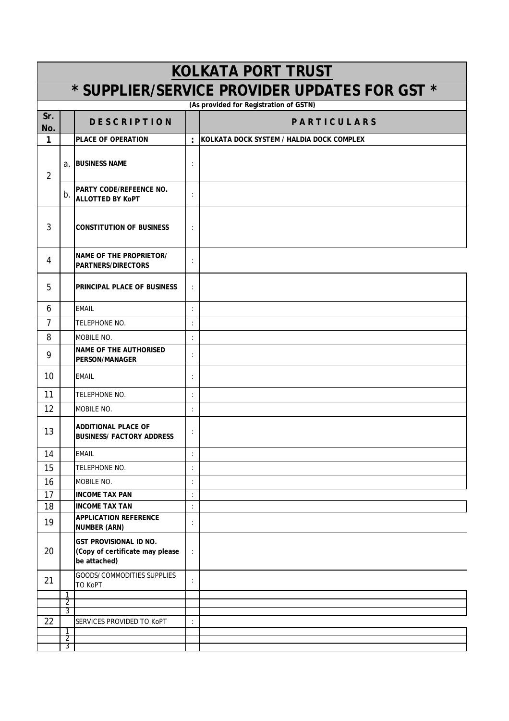| <b>KOLKATA PORT TRUST</b>                     |        |                                                                                  |                      |                                             |  |  |
|-----------------------------------------------|--------|----------------------------------------------------------------------------------|----------------------|---------------------------------------------|--|--|
| * SUPPLIER/SERVICE PROVIDER UPDATES FOR GST * |        |                                                                                  |                      |                                             |  |  |
| (As provided for Registration of GSTN)        |        |                                                                                  |                      |                                             |  |  |
| Sr.<br>No.                                    |        | <b>DESCRIPTION</b>                                                               |                      | <b>PARTICULARS</b>                          |  |  |
| 1                                             |        | <b>PLACE OF OPERATION</b>                                                        |                      | : KOLKATA DOCK SYSTEM / HALDIA DOCK COMPLEX |  |  |
| $\overline{2}$                                |        | a. BUSINESS NAME                                                                 | ÷                    |                                             |  |  |
|                                               | b.     | <b>PARTY CODE/REFEENCE NO.</b><br><b>ALLOTTED BY KOPT</b>                        | $\ddot{\cdot}$       |                                             |  |  |
| 3                                             |        | <b>CONSTITUTION OF BUSINESS</b>                                                  | $\ddot{\cdot}$       |                                             |  |  |
| 4                                             |        | <b>NAME OF THE PROPRIETOR/</b><br><b>PARTNERS/DIRECTORS</b>                      | $\ddot{\cdot}$       |                                             |  |  |
| 5                                             |        | PRINCIPAL PLACE OF BUSINESS                                                      | ÷                    |                                             |  |  |
| 6                                             |        | <b>EMAIL</b>                                                                     | $\vdots$             |                                             |  |  |
| $\overline{7}$                                |        | TELEPHONE NO.                                                                    | $\ddot{\cdot}$       |                                             |  |  |
| 8                                             |        | <b>MOBILE NO.</b>                                                                | $\ddot{\cdot}$       |                                             |  |  |
| 9                                             |        | <b>NAME OF THE AUTHORISED</b><br><b>PERSON/MANAGER</b>                           | $\ddot{\cdot}$       |                                             |  |  |
| 10 <sup>1</sup>                               |        | <b>EMAIL</b>                                                                     | $\ddot{\cdot}$       |                                             |  |  |
| 11                                            |        | TELEPHONE NO.                                                                    | $\ddot{\cdot}$       |                                             |  |  |
| 12                                            |        | MOBILE NO.                                                                       | $\ddot{\cdot}$       |                                             |  |  |
| 13                                            |        | <b>ADDITIONAL PLACE OF</b><br><b>BUSINESS/ FACTORY ADDRESS</b>                   | :                    |                                             |  |  |
| 14                                            |        | <b>EMAIL</b>                                                                     | ÷                    |                                             |  |  |
| 15                                            |        | TELEPHONE NO.                                                                    | :                    |                                             |  |  |
| 16                                            |        | MOBILE NO.                                                                       | :                    |                                             |  |  |
| 17                                            |        | <b>INCOME TAX PAN</b>                                                            | $\ddot{\cdot}$       |                                             |  |  |
| 18                                            |        | <b>INCOME TAX TAN</b><br><b>APPLICATION REFERENCE</b>                            | $\vdots$             |                                             |  |  |
| 19                                            |        | <b>NUMBER (ARN)</b>                                                              | $\ddot{\phantom{a}}$ |                                             |  |  |
| 20                                            |        | <b>GST PROVISIONAL ID NO.</b><br>(Copy of certificate may please<br>be attached) | $\ddot{\cdot}$       |                                             |  |  |
| 21                                            |        | GOODS/COMMODITIES SUPPLIES<br>TO KoPT                                            | ÷                    |                                             |  |  |
|                                               | 1<br>2 |                                                                                  |                      |                                             |  |  |
|                                               | 3      |                                                                                  |                      |                                             |  |  |
| 22                                            | 1      | SERVICES PROVIDED TO KoPT                                                        | $\ddot{\cdot}$       |                                             |  |  |
|                                               | 2<br>3 |                                                                                  |                      |                                             |  |  |
|                                               |        |                                                                                  |                      |                                             |  |  |